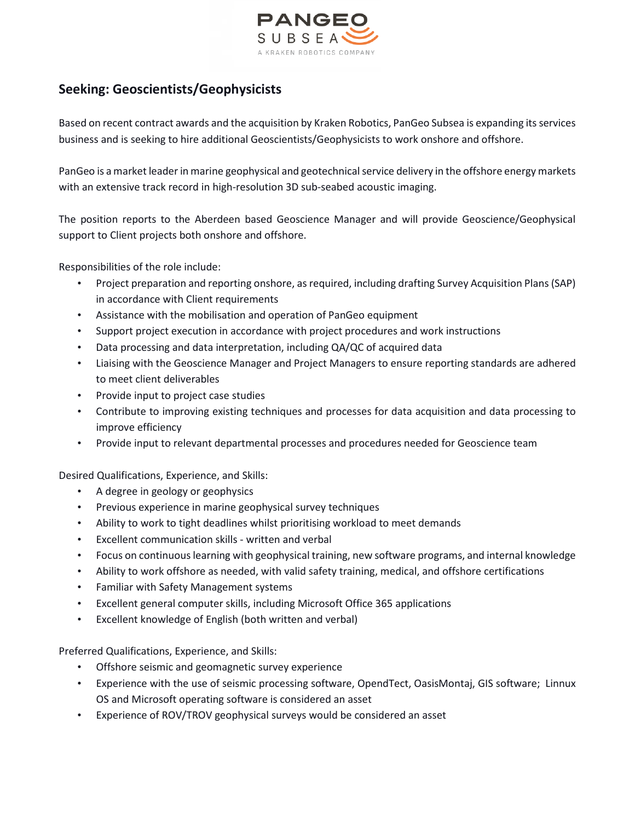

## **Seeking: Geoscientists/Geophysicists**

Based on recent contract awards and the acquisition by Kraken Robotics, PanGeo Subsea is expanding its services business and is seeking to hire additional Geoscientists/Geophysicists to work onshore and offshore.

PanGeo is a market leader in marine geophysical and geotechnical service delivery in the offshore energy markets with an extensive track record in high-resolution 3D sub-seabed acoustic imaging.

The position reports to the Aberdeen based Geoscience Manager and will provide Geoscience/Geophysical support to Client projects both onshore and offshore.

Responsibilities of the role include:

- Project preparation and reporting onshore, as required, including drafting Survey Acquisition Plans (SAP) in accordance with Client requirements
- Assistance with the mobilisation and operation of PanGeo equipment
- Support project execution in accordance with project procedures and work instructions
- Data processing and data interpretation, including QA/QC of acquired data
- Liaising with the Geoscience Manager and Project Managers to ensure reporting standards are adhered to meet client deliverables
- Provide input to project case studies
- Contribute to improving existing techniques and processes for data acquisition and data processing to improve efficiency
- Provide input to relevant departmental processes and procedures needed for Geoscience team

Desired Qualifications, Experience, and Skills:

- A degree in geology or geophysics
- Previous experience in marine geophysical survey techniques
- Ability to work to tight deadlines whilst prioritising workload to meet demands
- Excellent communication skills written and verbal
- Focus on continuous learning with geophysical training, new software programs, and internal knowledge
- Ability to work offshore as needed, with valid safety training, medical, and offshore certifications
- Familiar with Safety Management systems
- Excellent general computer skills, including Microsoft Office 365 applications
- Excellent knowledge of English (both written and verbal)

Preferred Qualifications, Experience, and Skills:

- Offshore seismic and geomagnetic survey experience
- Experience with the use of seismic processing software, OpendTect, OasisMontaj, GIS software; Linnux OS and Microsoft operating software is considered an asset
- Experience of ROV/TROV geophysical surveys would be considered an asset